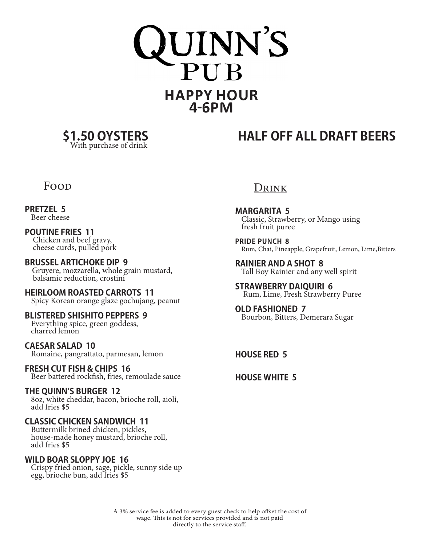



**\$1.50 OYSTERS HALF OFF ALL DRAFT BEERS**

### Food

**PRETZEL 5** Beer cheese

**POUTINE FRIES 11** Chicken and beef gravy, cheese curds, pulled pork

**BRUSSEL ARTICHOKE DIP 9** Gruyere, mozzarella, whole grain mustard, balsamic reduction, crostini

**HEIRLOOM ROASTED CARROTS 11** Spicy Korean orange glaze gochujang, peanut

**BLISTERED SHISHITO PEPPERS 9** Everything spice, green goddess, charred lemon

**CAESAR SALAD 10** Romaine, pangrattato, parmesan, lemon

#### **FRESH CUT FISH & CHIPS 16** Beer battered rockfish, fries, remoulade sauce

**THE QUINN'S BURGER 12**

8oz, white cheddar, bacon, brioche roll, aioli, add fries \$5

### **CLASSIC CHICKEN SANDWICH 11**

Buttermilk brined chicken, pickles, house-made honey mustard, brioche roll, add fries \$5

#### **WILD BOAR SLOPPY JOE 16**

Crispy fried onion, sage, pickle, sunny side up egg, brioche bun, add fries \$5

### Drink

**MARGARITA 5** Classic, Strawberry, or Mango using fresh fruit puree

**PRIDE PUNCH 8** Rum, Chai, Pineapple, Grapefruit, Lemon, Lime,Bitters

**RAINIER AND A SHOT 8** Tall Boy Rainier and any well spirit

**STRAWBERRY DAIQUIRI 6** Rum, Lime, Fresh Strawberry Puree

**OLD FASHIONED 7** Bourbon, Bitters, Demerara Sugar

**HOUSE RED 5**

**HOUSE WHITE 5**